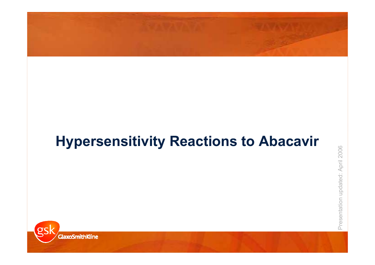# **Hypersensitivity Reactions to Abacavir**

Presentation updated: April 2006

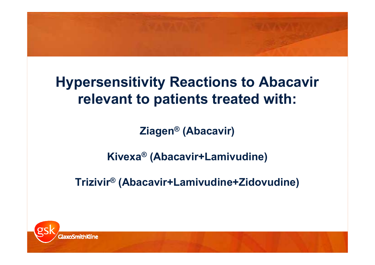# **Hypersensitivity Reactions to Abacavir relevant to patients treated with:**

**Ziagen ® (Abacavir)**

**Kivexa ® (Abacavir+Lamivudine)**

**Trizivir® (Abacavir+Lamivudine+Zidovudine)**

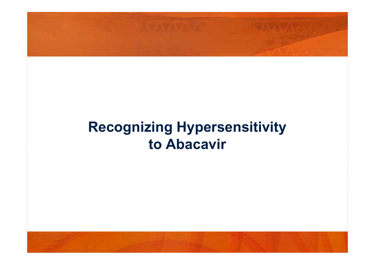# **Recognizing Hypersensitivity to Abacavir**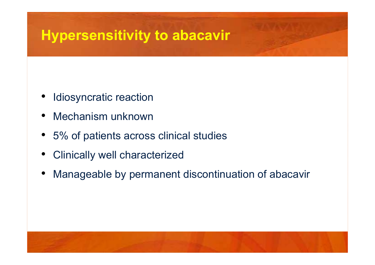# **Hypersensitivity to abacavir**

- •Idiosyncratic reaction
- •Mechanism unknown
- •5% of patients across clinical studies
- •Clinically well characterized
- •Manageable by permanent discontinuation of abacavir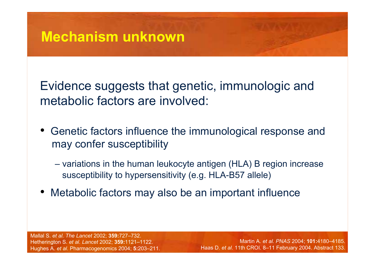Evidence suggests that genetic, immunologic and metabolic factors are involved:

- Genetic factors influence the immunological response and may confer susceptibility
	- variations in the human leukocyte antigen (HLA) B region increase susceptibility to hypersensitivity (e.g. HLA-B57 allele)
- Metabolic factors may also be an important influence

Mallal S. *et al. The Lancet* 2002; **359:**727–732. Hetherington S. *et al. Lancet* 2002; **359:**1121–1122.

Martin A. *et al. PNAS* 2004; **101:**4180–4185. Haas D. *et al*. 11th CROI. 8–11 February 2004. Abstract 133.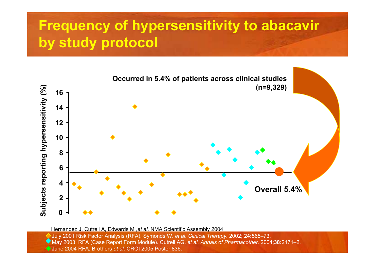## **Frequency of hypersensitivity to abacavir by study protocol**



July 2001 Risk Factor Analysis (RFA). Symonds W. *et al*. *Clinical Therapy.* 2002; **24:**565–73. May 2003 RFA (Case Report Form Module). Cutrell AG. *et al. Annals of Pharmacother.* 2004;**38:**2171–2. Hernandez J, Cutrell A, Edwards M ,*et al*. NMA Scientific Assembly 2004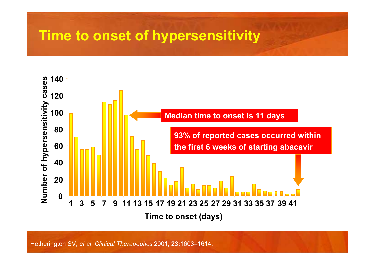## **Time to onset of hypersensitivity**



Hetherington SV, *et al*. *Clinical Therapeutics* 2001; **23:**1603–1614.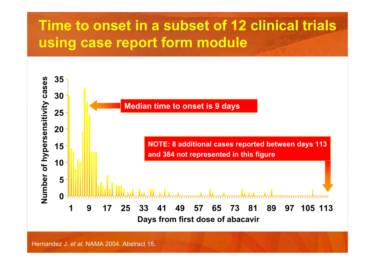## **Time to onset in a subset of 12 clinical trials using case report form module**



Hernandez J. *et al*. NAMA 2004. Abstract 15**.**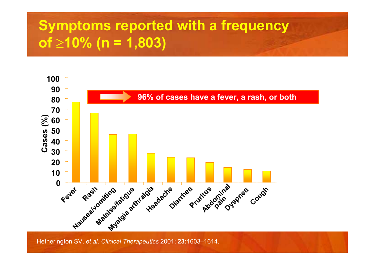## **Symptoms reported with a frequency of** <sup>≥</sup>**10% (n = 1,803)**



Hetherington SV, *et al*. *Clinical Therapeutics* 2001; **23:**1603–1614.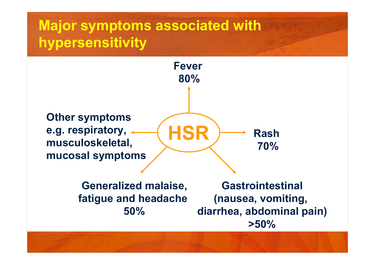## **Major symptoms associated with hypersensitivity**



**Generalized malaise, fatigue and headache 50%**

**Gastrointestinal(nausea, vomiting, diarrhea, abdominal pain) >50%**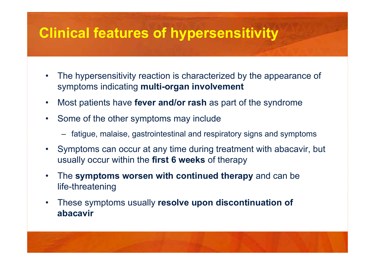## **Clinical features of hypersensitivity**

- $\bullet$  The hypersensitivity reaction is characterized by the appearance of symptoms indicating **multi-organ involvement**
- $\bullet$ Most patients have **fever and/or rash** as part of the syndrome
- $\bullet$  Some of the other symptoms may include
	- fatigue, malaise, gastrointestinal and respiratory signs and symptoms
- $\bullet$  Symptoms can occur at any time during treatment with abacavir, but usually occur within the **first 6 weeks** of therapy
- • The **symptoms worsen with continued therapy** and can be life-threatening
- $\bullet$  These symptoms usually **resolve upon discontinuation of abacavir**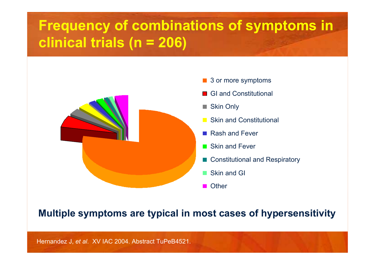## **Frequency of combinations of symptoms in clinical trials (n = 206)**



- 3 or more symptoms
- GI and Constitutional
- Skin Only
- Skin and Constitutional
- Rash and Fever
- Skin and Fever
- Constitutional and Respiratory
- Skin and GI
- **Other**

### **Multiple symptoms are typical in most cases of hypersensitivity**

Hernandez J, *et al*. XV IAC 2004. Abstract TuPeB4521.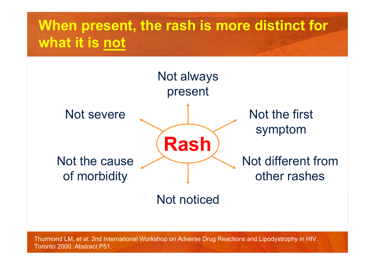## **When present, the rash is more distinct for what it is not**



Not noticed

Thurmond LM, *et al*. 2nd International Workshop on Adverse Drug Reactions and Lipodystrophy in HIV. Toronto 2000. Abstract P51.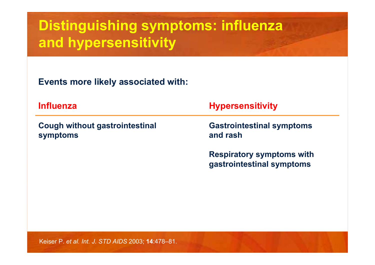## **Distinguishing symptoms: influenza and hypersensitivity**

**Events more likely associated with:**

| <b>Influenza</b>                           | <b>Hypersensitivity</b>                                       |  |
|--------------------------------------------|---------------------------------------------------------------|--|
| Cough without gastrointestinal<br>symptoms | <b>Gastrointestinal symptoms</b><br>and rash                  |  |
|                                            | <b>Respiratory symptoms with</b><br>gastrointestinal symptoms |  |

Keiser P. *et al. Int. J. STD AIDS* 2003; **14**:478–81.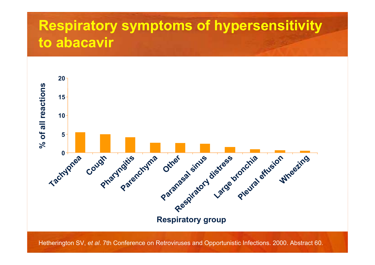## **Respiratory symptoms of hypersensitivity to abacavir**



Hetherington SV, *et al*. 7th Conference on Retroviruses and Opportunistic Infections. 2000. Abstract 60.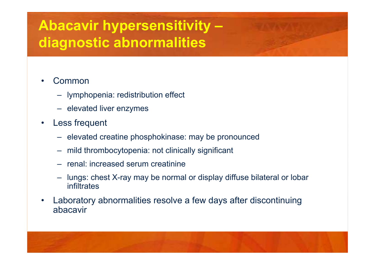# **Abacavir hypersensitivity – diagnostic abnormalities**

- • Common
	- lymphopenia: redistribution effect
	- elevated liver enzymes
- • Less frequent
	- elevated creatine phosphokinase: may be pronounced
	- mild thrombocytopenia: not clinically significant
	- renal: increased serum creatinine
	- lungs: chest X-ray may be normal or display diffuse bilateral or lobar infiltrates
- • Laboratory abnormalities resolve a few days after discontinuing abacavir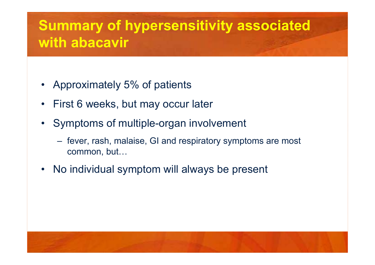## **Summary of hypersensitivity associated with abacavir**

- •Approximately 5% of patients
- •First 6 weeks, but may occur later
- • Symptoms of multiple-organ involvement
	- fever, rash, malaise, GI and respiratory symptoms are most common, but…
- •No individual symptom will always be present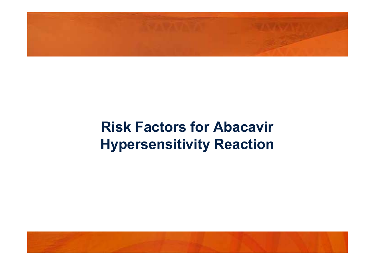# **Risk Factors for Abacavir Hypersensitivity Reaction**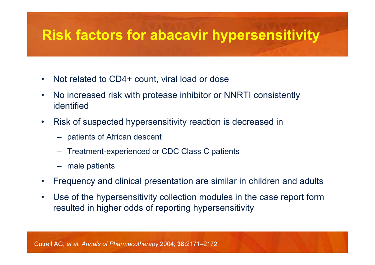## **Risk factors for abacavir hypersensitivity**

- •Not related to CD4+ count, viral load or dose
- • No increased risk with protease inhibitor or NNRTI consistently identified
- • Risk of suspected hypersensitivity reaction is decreased in
	- patients of African descent
	- –Treatment-experienced or CDC Class C patients
	- male patients
- •Frequency and clinical presentation are similar in children and adults
- $\bullet$  Use of the hypersensitivity collection modules in the case report form resulted in higher odds of reporting hypersensitivity

Cutrell AG, *et al. Annals of Pharmacotherapy* 2004; **38:**2171–2172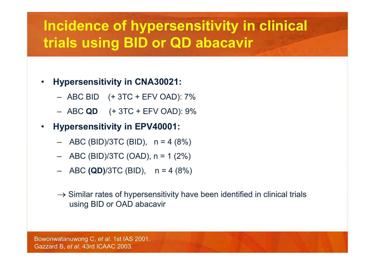## **Incidence of hypersensitivity in clinical trials using BID or QD abacavir**

- • **Hypersensitivity in CNA30021:**
	- ABC BID (+ 3TC + EFV OAD): 7%
	- ABC **QD** (+ 3TC + EFV OAD): 9%
- • **Hypersensitivity in EPV40001:**
	- ABC (BID)/3TC (BID), n = 4 (8%)
	- ABC (BID)/3TC (OAD), n = 1 (2%)
	- ABC **(QD)**/3TC (BID), n = 4 (8%)
	- $\rightarrow$  Similar rates of hypersensitivity have been identified in clinical trials using BID or OAD abacavir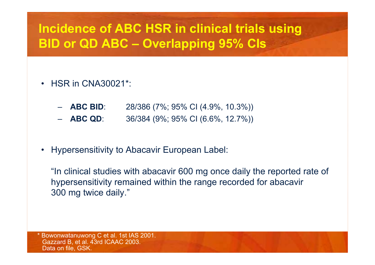## **Incidence of ABC HSR in clinical trials using BID or QD ABC – Overlapping 95% CIs**

- • HSR in CNA30021\*:
	- **ABC BID**: 28/386 (7%; 95% CI (4.9%, 10.3%))
	- **ABC QD**: 36/384 (9%; 95% CI (6.6%, 12.7%))
- •Hypersensitivity to Abacavir European Label:

"In clinical studies with abacavir 600 mg once daily the reported rate of hypersensitivity remained within the range recorded for abacavir 300 mg twice daily."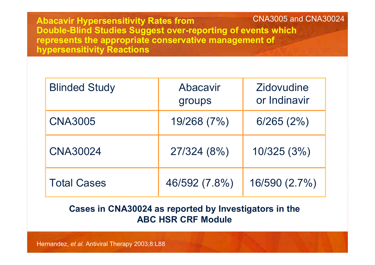**Abacavir Hypersensitivity Rates from Double-Blind Studies Suggest over-reporting of events which represents the appropriate conservative management of hypersensitivity Reactions** CNA3005 and CNA30024

| <b>Blinded Study</b> | Abacavir<br>groups | Zidovudine<br>or Indinavir |
|----------------------|--------------------|----------------------------|
| <b>CNA3005</b>       | 19/268 (7%)        | 6/265(2%)                  |
| <b>CNA30024</b>      | 27/324 (8%)        | 10/325(3%)                 |
| <b>Total Cases</b>   | 46/592 (7.8%)      | 16/590 (2.7%)              |

#### **Cases in CNA30024 as reported by Investigators in the ABC HSR CRF Module**

Hernandez, *et al.* Antiviral Therapy 2003;8:L88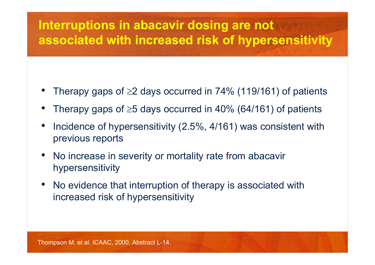## **Interruptions in abacavir dosing are not associated with increased risk of hypersensitivity**

- •Therapy gaps of  $\geq$ 2 days occurred in 74% (119/161) of patients
- •Therapy gaps of  $\geq$ 5 days occurred in 40% (64/161) of patients
- • Incidence of hypersensitivity (2.5%, 4/161) was consistent with previous reports
- • No increase in severity or mortality rate from abacavir hypersensitivity
- • No evidence that interruption of therapy is associated with increased risk of hypersensitivity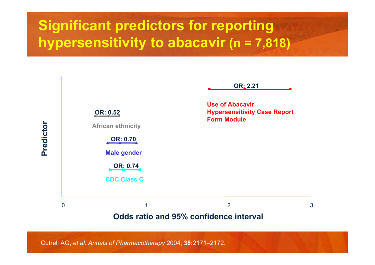## **Significant predictors for reporting hypersensitivity to abacavir (n = 7,818)**

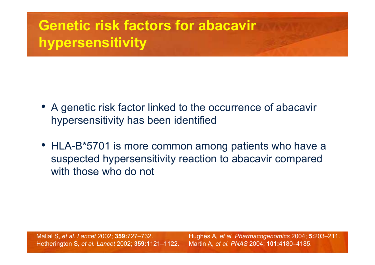## **Genetic risk factors for abacavirhypersensitivity**

- A genetic risk factor linked to the occurrence of abacavir hypersensitivity has been identified
- HLA-B\*5701 is more common among patients who have a suspected hypersensitivity reaction to abacavir compared with those who do not

Mallal S, *et al*. *Lancet* 2002; **359:**727–732. Hetherington S*, et al. Lancet* 2002; **359:**1121–1122. Hughes A*, et al. Pharmacogenomics* 2004; **5:**203–211. Martin A, *et al. PNAS* 2004; **101:**4180–4185.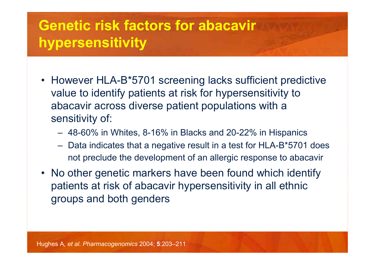## **Genetic risk factors for abacavir hypersensitivity**

- However HLA-B\*5701 screening lacks sufficient predictive value to identify patients at risk for hypersensitivity to abacavir across diverse patient populations with a sensitivity of:
	- –48-60% in Whites, 8-16% in Blacks and 20-22% in Hispanics
	- $\mathcal{L}_{\mathcal{A}}$  , and the set of  $\mathcal{L}_{\mathcal{A}}$  Data indicates that a negative result in a test for HLA-B\*5701 does not preclude the development of an allergic response to abacavir
- No other genetic markers have been found which identify patients at risk of abacavir hypersensitivity in all ethnic groups and both genders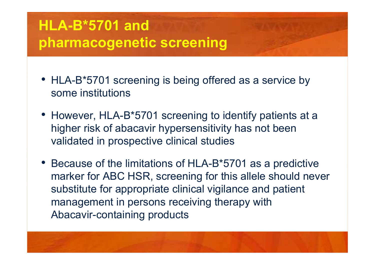## **HLA-B\*5701 andpharmacogenetic screening**

- HLA-B\*5701 screening is being offered as a service by some institutions
- However, HLA-B\*5701 screening to identify patients at a higher risk of abacavir hypersensitivity has not been validated in prospective clinical studies
- Because of the limitations of HLA-B\*5701 as a predictive marker for ABC HSR, screening for this allele should never substitute for appropriate clinical vigilance and patient management in persons receiving therapy with Abacavir-containing products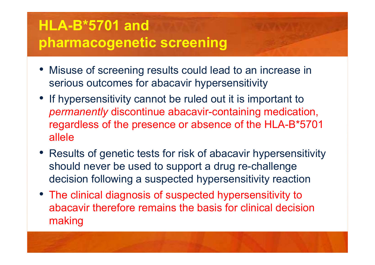# **HLA-B\*5701 andpharmacogenetic screening**

- Misuse of screening results could lead to an increase in serious outcomes for abacavir hypersensitivity
- If hypersensitivity cannot be ruled out it is important to *permanently* discontinue abacavir-containing medication, regardless of the presence or absence of the HLA-B\*5701 allele
- Results of genetic tests for risk of abacavir hypersensitivity should never be used to support a drug re-challenge decision following a suspected hypersensitivity reaction
- The clinical diagnosis of suspected hypersensitivity to abacavir therefore remains the basis for clinical decision making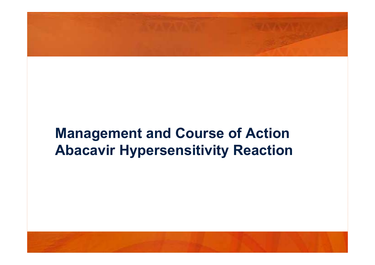## **Management and Course of Action Abacavir Hypersensitivity Reaction**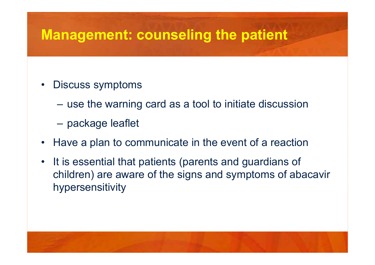## **Management: counseling the patient**

- • Discuss symptoms
	- use the warning card as a tool to initiate discussion
	- package leaflet
- •Have a plan to communicate in the event of a reaction
- • It is essential that patients (parents and guardians of children) are aware of the signs and symptoms of abacavir hypersensitivity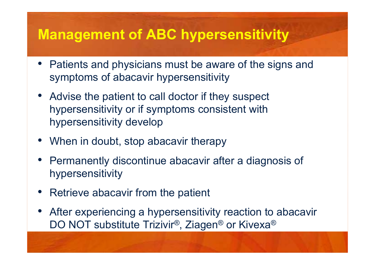## **Management of ABC hypersensitivity**

- Patients and physicians must be aware of the signs and symptoms of abacavir hypersensitivity
- Advise the patient to call doctor if they suspect hypersensitivity or if symptoms consistent with hypersensitivity develop
- When in doubt, stop abacavir therapy
- Permanently discontinue abacavir after a diagnosis of hypersensitivity
- •Retrieve abacavir from the patient
- After experiencing a hypersensitivity reaction to abacavir DO NOT substitute Trizivir®, Ziagen ® or Kivexa ®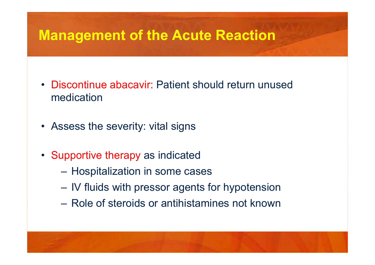## **Management of the Acute Reaction**

- Discontinue abacavir: Patient should return unused medication
- Assess the severity: vital signs
- • Supportive therapy as indicated
	- $\mathcal{L}_{\mathcal{A}}$ Hospitalization in some cases
	- IV fluids with pressor agents for hypotension
	- Role of steroids or antihistamines not known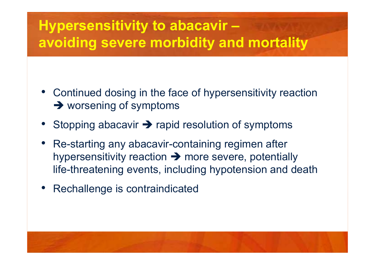## **Hypersensitivity to abacavir – avoiding severe morbidity and mortality**

- • Continued dosing in the face of hypersensitivity reaction  $\rightarrow$  worsening of symptoms
- •• Stopping abacavir  $\rightarrow$  rapid resolution of symptoms
- Re-starting any abacavir-containing regimen after hypersensitivity reaction  $\rightarrow$  more severe, potentially life-threatening events, including hypotension and death
- •Rechallenge is contraindicated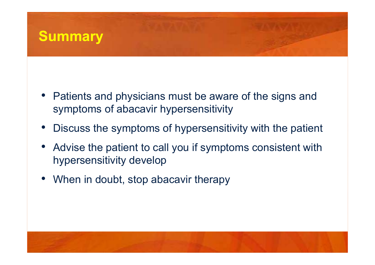

- Patients and physicians must be aware of the signs and symptoms of abacavir hypersensitivity
- •Discuss the symptoms of hypersensitivity with the patient
- • Advise the patient to call you if symptoms consistent with hypersensitivity develop
- •When in doubt, stop abacavir therapy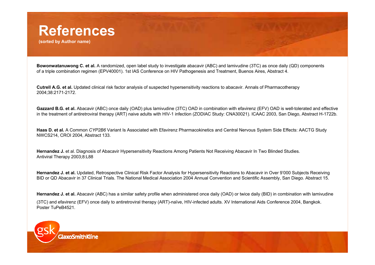## **References**

**(sorted by Author name)**

**Bowonwatanuwong C. et al.** A randomized, open label study to investigate abacavir (ABC) and lamivudine (3TC) as once daily (QD) components of a triple combination regimen (EPV40001). 1st IAS Conference on HIV Pathogenesis and Treatment, Buenos Aires, Abstract 4.

**Cutrell A.G. et al.** Updated clinical risk factor analysis of suspected hypersensitivity reactions to abacavir. Annals of Pharmacotherapy 2004;38:2171-2172.

**Gazzard B.G. et al.** Abacavir (ABC) once daily (OAD) plus lamivudine (3TC) OAD in combination with efavirenz (EFV) OAD is well-tolerated and effective in the treatment of antiretroviral therapy (ART) naive adults with HIV-1 infection (ZODIAC Study: CNA30021). ICAAC 2003, San Diego, Abstract H-1722b.

**Haas D. et al.** A Common *CYP2B6* Variant Is Associated with Efavirenz Pharmacokinetics and Central Nervous System Side Effects: AACTG Study NWCS214, CROI 2004, Abstract 133.

**Hernandez J.** et al. Diagnosis of Abacavir Hypersensitivity Reactions Among Patients Not Receiving Abacavir In Two Blinded Studies. Antiviral Therapy 2003;8:L88

**Hernandez J. et al.** Updated, Retrospective Clinical Risk Factor Analysis for Hypersensitivity Reactions to Abacavir in Over 9'000 Subjects Receiving BID or QD Abacavir in 37 Clinical Trials. The National Medical Association 2004 Annual Convention and Scientific Assembly, San Diego. Abstract 15.

**Hernandez J. et al.** Abacavir (ABC) has a similar safety profile when administered once daily (OAD) or twice daily (BID) in combination with lamivudine (3TC) and efavirenz (EFV) once daily to antiretroviral therapy (ART)-naïve, HIV-infected adults. XV International Aids Conference 2004, Bangkok. Poster TuPeB4521.

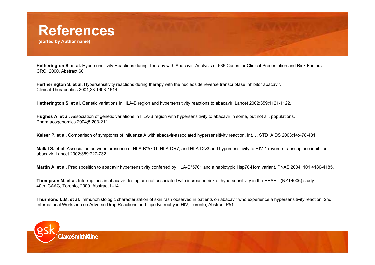

**(sorted by Author name)**

**Hetherington S. et al.** Hypersensitivity Reactions during Therapy with Abacavir: Analysis of 636 Cases for Clinical Presentation and Risk Factors. CROI 2000, Abstract 60.

**Hertherington S. et al.** Hypersensitivity reactions during therapy with the nucleoside reverse transcriptase inhibitor abacavir. Clinical Therapeutics 2001;23:1603-1614.

**Hetherington S. et al.** Genetic variations in HLA-B region and hypersensitivity reactions to abacavir. Lancet 2002;359:1121-1122.

**Hughes A. et al.** Association of genetic variations in HLA-B region with hypersensitivity to abacavir in some, but not all, populations. Pharmacogenomics 2004;5:203-211.

**Keiser P. et al.** Comparison of symptoms of influenza A with abacavir-associated hypersensitivity reaction. Int. J. STD AIDS 2003;14:478-481.

**Mallal S. et al.** Association between presence of HLA-B\*5701, HLA-DR7, and HLA-DQ3 and hypersensitivity to HIV-1 reverse-transcriptase inhibitor abacavir. Lancet 2002;359:727-732.

**Martin A. et al.** Predisposition to abacavir hypersensitivity conferred by HLA-B\*5701 and a haplotypic Hsp70-Hom variant. PNAS 2004: 101:4180-4185.

**Thompson M. et al.** Interruptions in abacavir dosing are not associated with increased risk of hypersensitivity in the HEART (NZT4006) study. 40th ICAAC, Toronto, 2000. Abstract L-14.

**Thurmond L.M. et al.** Immunohistologic characterization of skin rash observed in patients on abacavir who experience a hypersensitivity reaction. 2nd International Workshop on Adverse Drug Reactions and Lipodystrophy in HIV, Toronto, Abstract P51.

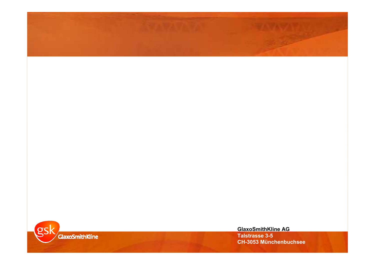

**GlaxoSmithKline AG Talstrasse 3-5 CH-3053 Münchenbuchsee**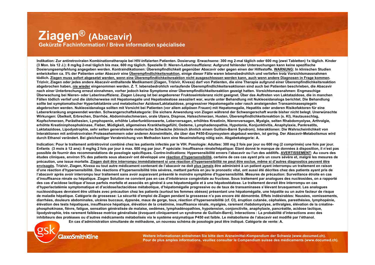#### **Ziagen® (Abacavir) Gekürzte Fachinformation / Brève information spécialisée**

**Indikation: Zur antiretroviralen Kombinationstherapie bei HIV-infizierten Patienten. Dosierung: Erwachsene: 300 mg 2-mal täglich oder 600 mg (zwei Tabletten) 1x täglich. Kinder (3 Mon. bis 12 J.): 8 mg/kg 2-mal täglich bis max. 600 mg täglich. Spezielle D: Nieren-/Leberinsuffizienz: Aufgrund fehlender Untersuchungen kann keine spezifische Dosierungsempfehlung angegeben werden. Kontraindikationen: Überempfindlichkeit gegenüber Abacavir oder gegen einen der Hilfsstoffe. WARNUNG: In klinischen Studien entwickelten ca. 5% der Patienten unter Abacavir eine Überempfindlichkeitsreaktion, einige dieser Fälle waren lebensbedrohlich und verliefen trotz Vorsichtsmassnahmen tödlich. Ziagen muss sofort abgesetzt werden, wenn eine Überempfindlichkeitsreaktion nicht ausgeschlossen werden kann, auch wenn andere Diagnosen in Frage kommen. Trizivir, Ziagen oder jedes andere Abacavir-enthaltende Medikament (Ziagen, Trizivir, Kivexa) darf von Patienten, die eine Therapie aufgrund einer Überempfindlichkeitsreaktion abgebrochen haben, nie wieder eingenommen werden. Z. T. lebensbedrohlich verlaufende Überempfindlichkeitsreaktionen sind auch bei Patienten beschrieben, die Abacavir nach einer Unterbrechung erneut einnahmen, vorher jedoch keine Symptome einer Überempfindlichkeitsreaktion gezeigt hatten. Vorsichtsmassnahmen: Engmaschige Überwachung bei Nieren- oder Leberinsuffizienz. Ziagen Lösung ist bei angeborener Fruktoseintoleranz nicht geeignet. Über das Auftreten von Laktatazidose, die in manchen Fällen tödlich verlief und die üblicherweise mit Hepatomegalie und Hepatosteatose assoziiert war, wurde unter Behandlung mit Nukleosidanaloga berichtet. Die Behandlung sollte bei symptomatischer Hyperlaktatämie und metabolischer Azidose/Laktatazidose, progressiver Hepatomegalie oder rasch ansteigenden Transaminasespiegeln abgebrochen werden. Nukleosidanaloga sollten mit Vorsicht bei Patienten (vor allem adipösen Frauen) mit Hepatomegalie, Hepatitis oder anderen Risikofaktoren für eine Lebererkrankung angewendet werden. Schwangerschaftskategorie: Die sichere Anwendung von Ziagen während der Schwangerschaft wurde bisher nicht belegt. Unerwünschte Wirkungen: Übelkeit, Erbrechen, Diarrhöe, Abdominalschmerzen, orale Ulzera, Dispnoe, Halsschmerzen, Husten, Überempfindlichkeitsreaktion (s. KI), Hautausschlag, Kopfschmerzen, Parästhesien, Lymphopenie, erhöhte Leberfunktionswerte, Leberversagen, erhöhtes Kreatinin, Nierenversagen, Myalgie, selten Rhabdomyolyse, Arthralgie, erhöhte Kreatininphosphokinase, Fieber, Müdigkeit, allgemeines Krankheitsgefühl, Oedeme, Lymphadenopathie, Hypotonie, Konjunktivitis, Anaphylaxie, Pankreatits, Laktatazidose, Lipodystrophie, sehr selten generalisierte motorische Schwäche (klinisch ähnlich einem Guillain-Barré Syndrom). Interaktionen: Die Wahrscheinlichkeit von Interaktionen mit antiretroviralen Proteasehemmern oder anderen Arzneimitteln, die über das P450-Enzymsystem abgebaut werden, ist gering. Der Abacavir-Metabolismus wird durch Ethanol verändert. Bei gleichzeitiger Verabreichung von Methadon kann eine Neueinstellung nötig sein. Abgabekategorie: A.**

Indication: Pour le traitement antirétroviral combiné chez les patients infectés par le VIH. Posologie: Adultes: 300 mg 2 fois par jour ou 600 mg (2 comprimés) une fois par jour. **Enfants (3 mois à 12 ans): 8 mg/kg 2 fois par jour à max. 600 mg par jour. P spéciale: Insuffisance rénale/hépatique: Etant donné le manque de données à disposition, il n'est pas possible de fournir des recommandations de posologie spécifiques. Contre-indications: Hypersensibilité envers l'abacavir ou l'un des additifs. AVERTISSEMENT: Au cours des études cliniques, environ 5% des patients sous abacavir ont développé une réaction d'hypersensibilité, certains de ces cas ayant pris un cours sévère et, malgré les mesures de précaution, une issue mortelle. Ziagen doit être interrompu immédiatement si une réaction d'hypersensibilité ne peut être exclue, même si d'autres diagnostics peuvent être envisagés. Trizivir, Ziagen, Kivexa ou tout autre médicament contenant de l'abacavir ne doit plus jamais être administré à un patient ayant interrompu un traitement en raison d'une réaction d'hypersensibilité. Des réactions d'hypersensibilité très sévères, mettant parfois en jeu le pronostic vital, ont aussi été décrites chez des patients ayant pris de l'abacavir après avoir interrompu leur traitement sans avoir auparavant présenté le moindre symptôme d'hypersensibilité. Mesures de précaution: Surveillance étroite en cas d'insuffisance rénale ou hépatique. Ziagen Solution ne convient pas en cas d'intolérance congénitale au fructose. Sous traitement par analogues des nucléosides, on a rapporté**  des cas d'acidose lactique d'issue parfois mortelle et associés en général à une hépatomégalie et à une hépatostéatose. Le traitement devrait être interrompu en cas **d'hyperlactatémie symptomatique et d'acidose/lactacidose métabolique, d'hépatomégalie progressive ou de taux de transaminases s'élevant brusquement. Les analogues nucléosidiques devraient être utilisés avec précaution chez les patients (surtout les femmes obèses) présentant une hépatomégalie, une hépatite ou un autre facteur de risque de maladie hépatique. Catégorie de grossesse: La sécurité d'emploi de Ziagen pendant la grossesse n'a pas encore été démontrée. Effets indésirables: Nausées, vomissements, diarrhées, douleurs abdominales, ulcères buccaux, dypsnée, maux de gorge, toux, réaction d'hypersensibilité (cf. CI), éruption cutanée, céphalées, paresthésies, lymphopénie, élévation des tests hépatiques, insuffisance hépatique, élévation de la créatinine, insuffisance rénale, myalgies, rarement rhabdomyolyse, arthralgies, élévation de la créatinephosphokinase, fièvre, fatigue, sensation généralisée de malaise, oedèmes, lymphadénopathies, hypotension, conjonctivite, anaphylaxie, pancréatite, acidose lactique, lipodystrophie, très rarement faiblesse motrice généralisée (évoquant cliniquement un syndrome de Guillain-Barré). Interactions : La probabilité d'interactions avec des inhibiteurs des protéases ou d'autres médicaments métabolisés via le système enzymatique P450 est faible. Le métabolisme de l'abacavir est modifié par l'éthanol. En cas d'administration simultanée de méthadone, un nouveau schéma de posologie peut être indiqué. Catégorie de vente: A.**

#### **GlaxoSmithKline**

**Weitere Informationen entnehmen Sie bitte dem Arzneimittel-Kompendium der Schweiz (www.documed.ch). Pour de plus amples informations, veuillez consulter le Compendium suisse des médicaments (www.documed.ch).**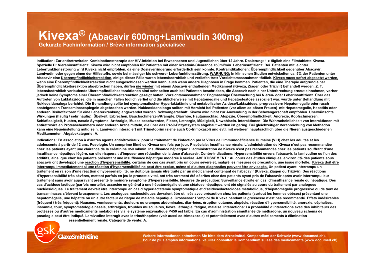### **Kivexa® (Abacavir 600mg+Lamivudin 300mg)**

**Gekürzte Fachinformation / Brève information spécialisée**

**Indikation: Zur antiretroviralen Kombinationstherapie der HIV-Infektion bei Erwachsenen und Jugendlichen über 12 Jahre. Dosierung: 1 x täglich eine Filmtablette Kivexa. Spezielle D: Niereninsuffizienz: Kivexa wird nicht empfohlen für Patienten mit einer Kreatinin-Clearance <50ml/min. Leberinsuffizienz: Bei Patienten mit leichter Leberfunktionsstörung wird Kivexa nicht empfohlen, da eine Dosisverringerung erforderlich sein könnte. Kontraindikationen: Überempfindlichkeit gegenüber Abacavir, Lamivudin oder gegen einen der Hilfsstoffe, sowie bei mässiger bis schwerer Leberfunktionsstörung. WARNUNG: In klinischen Studien entwickelten ca. 5% der Patienten unter Abacavir eine Überempfindlichkeitsreaktion, einige dieser Fälle waren lebensbedrohlich und verliefen trotz Vorsichtsmassnahmen tödlich. Kivexa muss sofort abgesetzt werden, wenn eine Überempfindlichkeitsreaktion nicht ausgeschlossen werden kann, auch wenn andere Diagnosen in Frage kommen. Patienten, die eine Therapie aufgrund einer Überempfindlichkeitsreaktion abgebrochen haben, dürfen nie wieder mit einem Abacavir enthaltenden Medikament (Kivexa, Ziagen oder Trizivir) behandelt werden. Z. T. lebensbedrohlich verlaufende Überempfindlichkeitsraktionen sind sehr selten auch bei Patienten beschrieben, die Abacavir nach einer Unterbrechung erneut einnahmen, vorher jedoch keine Symptome einer Überempfindlichkeitsreaktion gezeigt hatten. Vorsichtsmassnahmen: Engmaschige Überwachung bei Nieren- oder Leberinsuffizienz. Über das Auftreten von Laktatazidose, die in manchen Fällen tödlich verlief und die üblicherweise mit Hepatomegalie und Hepatosteatose assoziiert war, wurde unter Behandlung mit Nukleosidanaloga berichtet. Die Behandlung sollte bei symptomatischer Hyperlaktatämie und metabolischer Azidose/Laktazidose, progressivern Hepatomegalie oder rasch ansteigenden Transaminasespiegeln abgebrochen werden. Nukleosidanalaoga sollten mit Vorsicht bei Patienten (vor allem adipösen Frauen) mit Hepatomegalie, Hepatitis oder anderen Risikofaktoren für eine Lebererkrankung angewendet werden. Schwangerschaft: Kivexa wird nicht zur Anwendung in der Schwangerschaft empfohlen. Unerwünschte Wirkungen (häufig / sehr häufig): Übelkeit, Erbrechen, Bauchschmerzen/Krämpfe, Diarrhöe, Hautausschlag, Alopezie, Überempfindlichkeit, Anorexie, Kopfschmerzen, Schlaflosigkeit, Husten, nasale Symptome, Arthralgie, Muskelbeschwerden, Fieber, Lethargie, Müdigkeit, Unwohlsein. Interaktionen: Die Wahrscheinlichkeit von Interaktionen mit antiretroviralen Proteasehemmern oder anderen Arzneimitteln, die über das P450-Enzymsystem abgebaut werden ist gering. Bei gleichzeitiger Verabreichung von Methadon kann eine Neueinstellung nötig sein. Lamivudin interagiert mit Trimetoprim (siehe auch Co-trimoxazol) und evtl. mit weiteren hauptsächlich über die Nieren ausgeschiedenen Medikamenten. Abgabekategorie: A.**

**Indications: En association à d'autres agents antirétroviraux, pour le traitement de l'infection par le Virus de l'Immunodéficience Humaine (VIH) chez les adultes et les adolescents à partir de 12 ans. Posologie: Un comprimé filmé de Kivexa une fois par jour. P spéciale: Insuffisance rénale: L'administration de Kivexa n'est pas recommandée chez les patients ayant une clairance de la créatinine <50 ml/min. Insuffisance hépatique: L'administration de Kivexa n'est pas recommandée chez les patients souffrant d'une insuffisance hépatique légère, car elle risquerait d'imposer une réduction de la dose d'abacavir. Contre-indications: Hypersensibilité envers l'abacavir, la lamivudine ou l'un des additifs, ainsi que chez les patients présentant une insuffisance hépatique modérée à sévère. AVERTISSEMENT : Au cours des études cliniques, environ 5% des patients sous**  abacavir ont développé une réaction d'hypersensibilité, certains de ces cas ayant pris un cours sévère et, malgré les mesures de précaution, une issue mortelle. Kivexa doit être **interrompu immédiatement si une réaction d'hypersensibilité ne peut être exclue, même si d'autres diagnostics peuvent être envisagés. Un patient ayant interrompu un traitement en raison d'une réaction d'hypersensibilité, ne doit plus jamais être traité par un médicament contenant de l'abacavir (Kivexa, Ziagen ou Trizivir). Des réactions d'hypersensibilité très sévères, mettant parfois en jeu le pronostic vital, ont très rarement été décrites chez des patients ayant pris de l'abacavir après avoir interrompu leur traitement sans avoir auparavant présenté le moindre symptôme d'hypersensibilité. Mesures de précaution: Surveillance étroite en cas d'insuffisance rénale ou hépatique. Des cas d'acidose lactique (parfois mortelle), associée en général à une hépatomégalie et une stéatose hépatique, ont été signalés au cours du traitement par analogues nucléosidiques. Le traitement devrait être interrompu en cas d'hyperlactatémie symptomatique et d'acidose/lactacidose métabolique, d'hépatomégalie progressive ou de taux de transaminases s'élevant brusquement. Les analogues nucléosidiques devraient être utilisés avec précaution chez les patients (surtout les femmes obèses) présentant une hépatomégalie, une hépatite ou un autre facteur de risque de maladie hépatique. Grossesse: L'emploi de Kivexa pendant la grossesse n'est pas recommandé. Effets indésirables (fréquent / très fréquent): Nausées, vomissements, douleurs ou crampes abdominales, diarrhées, éruption cutanée, alopécie, réaction d'hypersensibilité, anorexie, céphalées, insomnie, toux, symptomatologie nasale, arthralgies, troubles musculaires, fièvre, léthargie, fatigue, malaise. Interactions: La probabilité d'interactions avec des inhibiteurs des protéases ou d'autres médicaments métabolisés via le système enzymatique P450 est faible. En cas d'administration simultanée de méthadone, un nouveau schéma de posologie peut être indiqué. Lamivudine interagit avec le triméthoprime (voir aussi co-trimoxazole) et potentiellement avec d'autres médicaments à élimination** 

**essentiellement rénale. Catégorie de vente: A.**

**Weitere Informationen entnehmen Sie bitte dem Arzneimittel-Kompendium der Schweiz (www.documed.ch). Pour de plus amples informations, veuillez consulter le Compendium suisse des médicaments (www.documed.ch).**